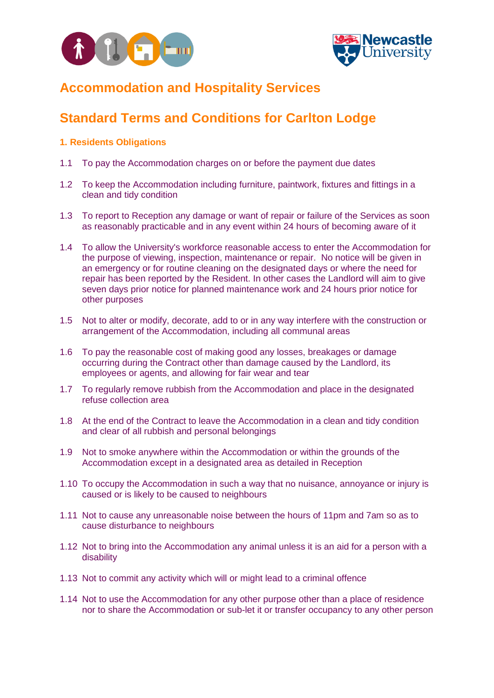



## **Accommodation and Hospitality Services**

# **Standard Terms and Conditions for Carlton Lodge**

### **1. Residents Obligations**

- 1.1 To pay the Accommodation charges on or before the payment due dates
- 1.2 To keep the Accommodation including furniture, paintwork, fixtures and fittings in a clean and tidy condition
- 1.3 To report to Reception any damage or want of repair or failure of the Services as soon as reasonably practicable and in any event within 24 hours of becoming aware of it
- 1.4 To allow the University's workforce reasonable access to enter the Accommodation for the purpose of viewing, inspection, maintenance or repair. No notice will be given in an emergency or for routine cleaning on the designated days or where the need for repair has been reported by the Resident. In other cases the Landlord will aim to give seven days prior notice for planned maintenance work and 24 hours prior notice for other purposes
- 1.5 Not to alter or modify, decorate, add to or in any way interfere with the construction or arrangement of the Accommodation, including all communal areas
- 1.6 To pay the reasonable cost of making good any losses, breakages or damage occurring during the Contract other than damage caused by the Landlord, its employees or agents, and allowing for fair wear and tear
- 1.7 To regularly remove rubbish from the Accommodation and place in the designated refuse collection area
- 1.8 At the end of the Contract to leave the Accommodation in a clean and tidy condition and clear of all rubbish and personal belongings
- 1.9 Not to smoke anywhere within the Accommodation or within the grounds of the Accommodation except in a designated area as detailed in Reception
- 1.10 To occupy the Accommodation in such a way that no nuisance, annoyance or injury is caused or is likely to be caused to neighbours
- 1.11 Not to cause any unreasonable noise between the hours of 11pm and 7am so as to cause disturbance to neighbours
- 1.12 Not to bring into the Accommodation any animal unless it is an aid for a person with a disability
- 1.13 Not to commit any activity which will or might lead to a criminal offence
- 1.14 Not to use the Accommodation for any other purpose other than a place of residence nor to share the Accommodation or sub-let it or transfer occupancy to any other person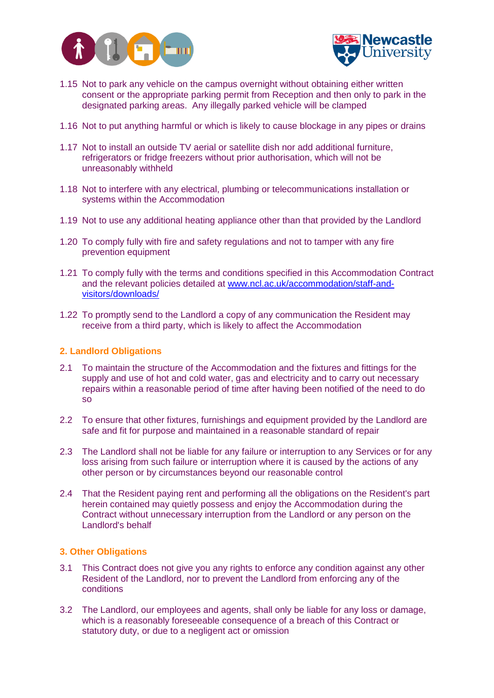



- 1.15 Not to park any vehicle on the campus overnight without obtaining either written consent or the appropriate parking permit from Reception and then only to park in the designated parking areas. Any illegally parked vehicle will be clamped
- 1.16 Not to put anything harmful or which is likely to cause blockage in any pipes or drains
- 1.17 Not to install an outside TV aerial or satellite dish nor add additional furniture, refrigerators or fridge freezers without prior authorisation, which will not be unreasonably withheld
- 1.18 Not to interfere with any electrical, plumbing or telecommunications installation or systems within the Accommodation
- 1.19 Not to use any additional heating appliance other than that provided by the Landlord
- 1.20 To comply fully with fire and safety regulations and not to tamper with any fire prevention equipment
- 1.21 To comply fully with the terms and conditions specified in this Accommodation Contract and the relevant policies detailed at [www.ncl.ac.uk/accommodation/staff-and](file://///campus/pss/Accommodation/Projects/Go%20Mobile/Policy%20Documents%202016%20final%20versions/Staff%20policies/www.ncl.ac.uk/accommodation/staff-and-visitors/downloads/)[visitors/downloads/](file://///campus/pss/Accommodation/Projects/Go%20Mobile/Policy%20Documents%202016%20final%20versions/Staff%20policies/www.ncl.ac.uk/accommodation/staff-and-visitors/downloads/)
- 1.22 To promptly send to the Landlord a copy of any communication the Resident may receive from a third party, which is likely to affect the Accommodation

### **2. Landlord Obligations**

- 2.1 To maintain the structure of the Accommodation and the fixtures and fittings for the supply and use of hot and cold water, gas and electricity and to carry out necessary repairs within a reasonable period of time after having been notified of the need to do so
- 2.2 To ensure that other fixtures, furnishings and equipment provided by the Landlord are safe and fit for purpose and maintained in a reasonable standard of repair
- 2.3 The Landlord shall not be liable for any failure or interruption to any Services or for any loss arising from such failure or interruption where it is caused by the actions of any other person or by circumstances beyond our reasonable control
- 2.4 That the Resident paying rent and performing all the obligations on the Resident's part herein contained may quietly possess and enjoy the Accommodation during the Contract without unnecessary interruption from the Landlord or any person on the Landlord's behalf

#### **3. Other Obligations**

- 3.1 This Contract does not give you any rights to enforce any condition against any other Resident of the Landlord, nor to prevent the Landlord from enforcing any of the conditions
- 3.2 The Landlord, our employees and agents, shall only be liable for any loss or damage, which is a reasonably foreseeable consequence of a breach of this Contract or statutory duty, or due to a negligent act or omission